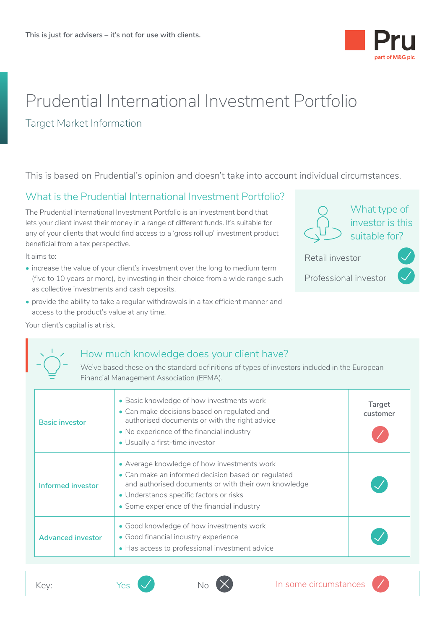

# Prudential International Investment Portfolio

#### Target Market Information

This is based on Prudential's opinion and doesn't take into account individual circumstances.

#### What is the Prudential International Investment Portfolio?

The Prudential International Investment Portfolio is an investment bond that lets your client invest their money in a range of different funds. It's suitable for any of your clients that would find access to a 'gross roll up' investment product beneficial from a tax perspective.

It aims to:

- increase the value of your client's investment over the long to medium term (five to 10 years or more), by investing in their choice from a wide range such as collective investments and cash deposits.
- provide the ability to take a regular withdrawals in a tax efficient manner and access to the product's value at any time.



Professional investor



Your client's capital is at risk. Your client's capi<br>  $\begin{pmatrix} 1 \\ -1 \\ -1 \end{pmatrix}$ 

### How much knowledge does your client have?

We've based these on the standard definitions of types of investors included in the European Financial Management Association (EFMA).

| <b>Basic investor</b>    | • Basic knowledge of how investments work<br>• Can make decisions based on regulated and<br>authorised documents or with the right advice<br>• No experience of the financial industry<br>• Usually a first-time investor                           | Target<br>customer |
|--------------------------|-----------------------------------------------------------------------------------------------------------------------------------------------------------------------------------------------------------------------------------------------------|--------------------|
| Informed investor        | • Average knowledge of how investments work<br>• Can make an informed decision based on regulated<br>and authorised documents or with their own knowledge<br>• Understands specific factors or risks<br>• Some experience of the financial industry |                    |
| <b>Advanced investor</b> | • Good knowledge of how investments work<br>• Good financial industry experience<br>• Has access to professional investment advice                                                                                                                  |                    |

<u>• Indian Propinsi Para</u>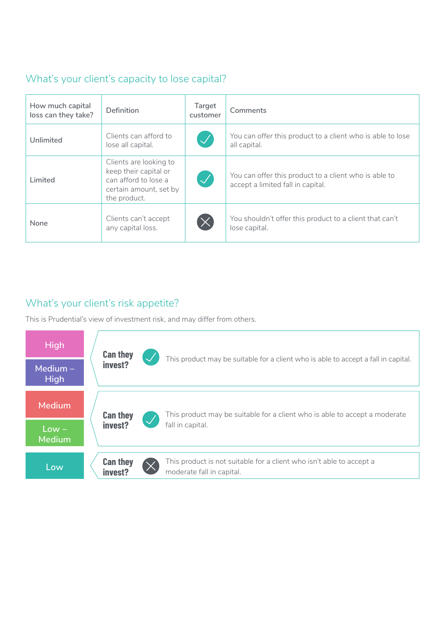## What's your client's capacity to lose capital?

| How much capital<br>loss can they take? | Definition                                                                                                        | Target<br>customer       | Comments                                                                                   |
|-----------------------------------------|-------------------------------------------------------------------------------------------------------------------|--------------------------|--------------------------------------------------------------------------------------------|
| Unlimited                               | Clients can afford to<br>lose all capital.                                                                        | $\mathcal{A}$            | You can offer this product to a client who is able to lose<br>all capital.                 |
| Limited                                 | Clients are looking to<br>keep their capital or<br>can afford to lose a<br>certain amount, set by<br>the product. | $\overline{\mathscr{S}}$ | You can offer this product to a client who is able to<br>accept a limited fall in capital. |
| None                                    | Clients can't accept<br>any capital loss.                                                                         | $\times$                 | You shouldn't offer this product to a client that can't<br>lose capital.                   |

## What's your client's risk appetite?

This is Prudential's view of investment risk, and may differ from others.